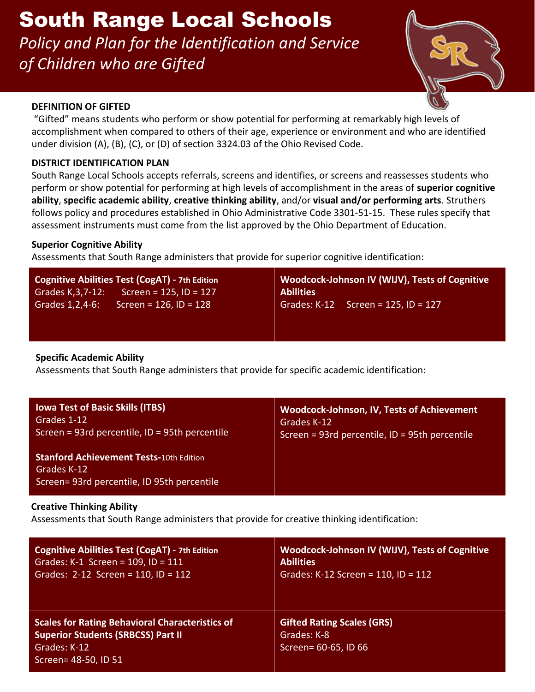*Policy and Plan for the Identification and Service of Children who are Gifted*



#### **DEFINITION OF GIFTED**

 "Gifted" means students who perform or show potential for performing at remarkably high levels of accomplishment when compared to others of their age, experience or environment and who are identified under division (A), (B), (C), or (D) of section 3324.03 of the Ohio Revised Code.

## **DISTRICT IDENTIFICATION PLAN**

South Range Local Schools accepts referrals, screens and identifies, or screens and reassesses students who perform or show potential for performing at high levels of accomplishment in the areas of **superior cognitive ability**, **specific academic ability**, **creative thinking ability**, and/or **visual and/or performing arts**. Struthers follows policy and procedures established in Ohio Administrative Code 3301-51-15. These rules specify that assessment instruments must come from the list approved by the Ohio Department of Education.

## **Superior Cognitive Ability**

Assessments that South Range administers that provide for superior cognitive identification:

| Cognitive Abilities Test (CogAT) - 7th Edition<br>Screen = $125$ , ID = $127$<br>Grades K, 3, 7-12: | Woodcock-Johnson IV (WIJV), Tests of Cognitive<br><b>Abilities</b> |  |
|-----------------------------------------------------------------------------------------------------|--------------------------------------------------------------------|--|
| Grades 1, 2, 4-6:<br>Screen = $126$ , ID = $128$                                                    | Grades: K-12 Screen = 125, ID = 127                                |  |
|                                                                                                     |                                                                    |  |

## **Specific Academic Ability**

Assessments that South Range administers that provide for specific academic identification:

| <b>Iowa Test of Basic Skills (ITBS)</b>                                                                      | <b>Woodcock-Johnson, IV, Tests of Achievement</b> |
|--------------------------------------------------------------------------------------------------------------|---------------------------------------------------|
| Grades 1-12                                                                                                  | Grades K-12                                       |
| Screen = 93rd percentile, ID = 95th percentile                                                               | Screen = 93rd percentile, ID = 95th percentile    |
| <b>Stanford Achievement Tests-10th Edition</b><br>Grades K-12<br>Screen= 93rd percentile, ID 95th percentile |                                                   |

## **Creative Thinking Ability**

Assessments that South Range administers that provide for creative thinking identification:

| <b>Cognitive Abilities Test (CogAT) - 7th Edition</b>                                                                                       | Woodcock-Johnson IV (WIJV), Tests of Cognitive                           |
|---------------------------------------------------------------------------------------------------------------------------------------------|--------------------------------------------------------------------------|
| Grades: K-1 Screen = $109$ , ID = $111$                                                                                                     | <b>Abilities</b>                                                         |
| Grades: $2-12$ Screen = 110, ID = 112                                                                                                       | Grades: K-12 Screen = $110$ , ID = $112$                                 |
| <b>Scales for Rating Behavioral Characteristics of</b><br><b>Superior Students (SRBCSS) Part II</b><br>Grades: K-12<br>Screen= 48-50, ID 51 | <b>Gifted Rating Scales (GRS)</b><br>Grades: K-8<br>Screen= 60-65, ID 66 |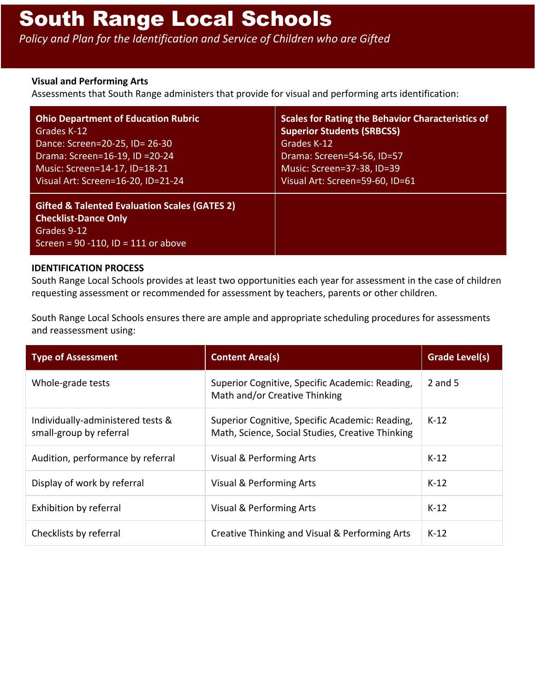*Policy and Plan for the Identification and Service of Children who are Gifted*

#### **Visual and Performing Arts**

Assessments that South Range administers that provide for visual and performing arts identification:

| <b>Ohio Department of Education Rubric</b>                                                                                                        | <b>Scales for Rating the Behavior Characteristics of</b> |
|---------------------------------------------------------------------------------------------------------------------------------------------------|----------------------------------------------------------|
| Grades K-12                                                                                                                                       | <b>Superior Students (SRBCSS)</b>                        |
| Dance: Screen=20-25, ID= 26-30                                                                                                                    | Grades K-12                                              |
| Drama: Screen=16-19, ID =20-24                                                                                                                    | Drama: Screen=54-56, ID=57                               |
| Music: Screen=14-17, ID=18-21                                                                                                                     | Music: Screen=37-38, ID=39                               |
| Visual Art: Screen=16-20, ID=21-24                                                                                                                | Visual Art: Screen=59-60, ID=61                          |
| <b>Gifted &amp; Talented Evaluation Scales (GATES 2)</b><br><b>Checklist-Dance Only</b><br>Grades 9-12<br>Screen = $90 - 110$ , ID = 111 or above |                                                          |

#### **IDENTIFICATION PROCESS**

South Range Local Schools provides at least two opportunities each year for assessment in the case of children requesting assessment or recommended for assessment by teachers, parents or other children.

South Range Local Schools ensures there are ample and appropriate scheduling procedures for assessments and reassessment using:

| <b>Type of Assessment</b>                                    | <b>Content Area(s)</b>                                                                              | <b>Grade Level(s)</b> |
|--------------------------------------------------------------|-----------------------------------------------------------------------------------------------------|-----------------------|
| Whole-grade tests                                            | Superior Cognitive, Specific Academic: Reading,<br>Math and/or Creative Thinking                    | 2 and $5$             |
| Individually-administered tests &<br>small-group by referral | Superior Cognitive, Specific Academic: Reading,<br>Math, Science, Social Studies, Creative Thinking | $K-12$                |
| Audition, performance by referral                            | Visual & Performing Arts                                                                            | $K-12$                |
| Display of work by referral                                  | Visual & Performing Arts                                                                            | $K-12$                |
| Exhibition by referral                                       | Visual & Performing Arts                                                                            | $K-12$                |
| Checklists by referral                                       | Creative Thinking and Visual & Performing Arts                                                      | $K-12$                |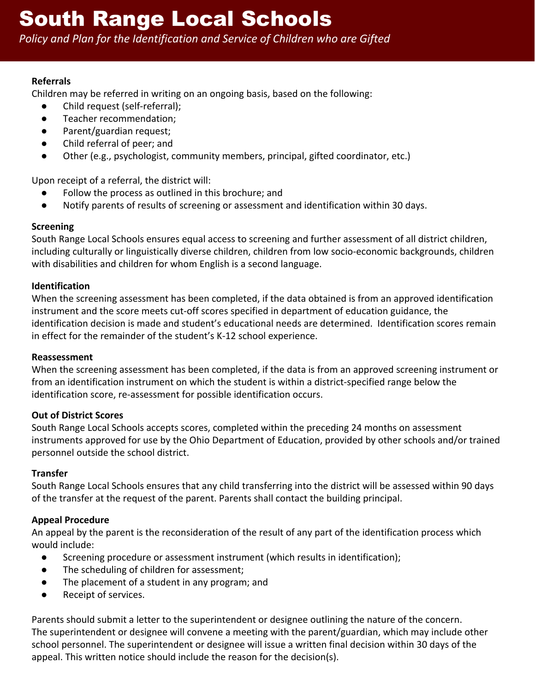*Policy and Plan for the Identification and Service of Children who are Gifted*

## **Referrals**

Children may be referred in writing on an ongoing basis, based on the following:

- Child request (self-referral);
- Teacher recommendation;
- Parent/guardian request;
- Child referral of peer; and
- Other (e.g., psychologist, community members, principal, gifted coordinator, etc.)

Upon receipt of a referral, the district will:

- Follow the process as outlined in this brochure; and
- Notify parents of results of screening or assessment and identification within 30 days.

## **Screening**

South Range Local Schools ensures equal access to screening and further assessment of all district children, including culturally or linguistically diverse children, children from low socio-economic backgrounds, children with disabilities and children for whom English is a second language.

## **Identification**

When the screening assessment has been completed, if the data obtained is from an approved identification instrument and the score meets cut-off scores specified in department of education guidance, the identification decision is made and student's educational needs are determined. Identification scores remain in effect for the remainder of the student's K-12 school experience.

## **Reassessment**

When the screening assessment has been completed, if the data is from an approved screening instrument or from an identification instrument on which the student is within a district-specified range below the identification score, re-assessment for possible identification occurs.

## **Out of District Scores**

South Range Local Schools accepts scores, completed within the preceding 24 months on assessment instruments approved for use by the Ohio Department of Education, provided by other schools and/or trained personnel outside the school district.

## **Transfer**

South Range Local Schools ensures that any child transferring into the district will be assessed within 90 days of the transfer at the request of the parent. Parents shall contact the building principal.

## **Appeal Procedure**

An appeal by the parent is the reconsideration of the result of any part of the identification process which would include:

- Screening procedure or assessment instrument (which results in identification);
- The scheduling of children for assessment;
- The placement of a student in any program; and
- Receipt of services.

Parents should submit a letter to the superintendent or designee outlining the nature of the concern. The superintendent or designee will convene a meeting with the parent/guardian, which may include other school personnel. The superintendent or designee will issue a written final decision within 30 days of the appeal. This written notice should include the reason for the decision(s).